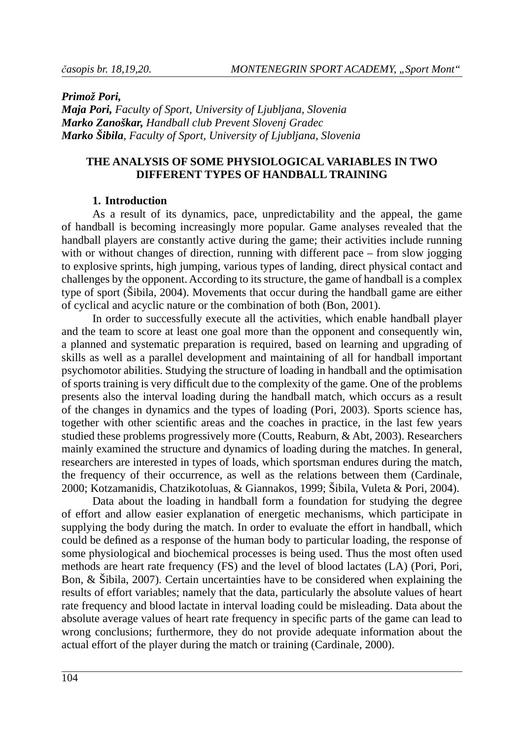*Primož Pori, Maja Pori, Faculty of Sport, University of Ljubljana, Slovenia Marko Zanoškar, Handball club Prevent Slovenj Gradec Marko Šibila, Faculty of Sport, University of Ljubljana, Slovenia*

#### **THE ANALYSIS OF SOME PHYSIOLOGICAL VARIABLES IN TWO DIFFERENT TYPES OF HANDBALL TRAINING**

#### **1. Introduction**

As a result of its dynamics, pace, unpredictability and the appeal, the game of handball is becoming increasingly more popular. Game analyses revealed that the handball players are constantly active during the game; their activities include running with or without changes of direction, running with different pace – from slow jogging to explosive sprints, high jumping, various types of landing, direct physical contact and challenges by the opponent. According to its structure, the game of handball is a complex type of sport (Šibila, 2004). Movements that occur during the handball game are either of cyclical and acyclic nature or the combination of both (Bon, 2001).

In order to successfully execute all the activities, which enable handball player and the team to score at least one goal more than the opponent and consequently win, a planned and systematic preparation is required, based on learning and upgrading of skills as well as a parallel development and maintaining of all for handball important psychomotor abilities. Studying the structure of loading in handball and the optimisation of sports training is very difficult due to the complexity of the game. One of the problems presents also the interval loading during the handball match, which occurs as a result of the changes in dynamics and the types of loading (Pori, 2003). Sports science has, together with other scientific areas and the coaches in practice, in the last few years studied these problems progressively more (Coutts, Reaburn, & Abt, 2003). Researchers mainly examined the structure and dynamics of loading during the matches. In general, researchers are interested in types of loads, which sportsman endures during the match, the frequency of their occurrence, as well as the relations between them (Cardinale, 2000; Kotzamanidis, Chatzikotoluas, & Giannakos, 1999; Šibila, Vuleta & Pori, 2004).

Data about the loading in handball form a foundation for studying the degree of effort and allow easier explanation of energetic mechanisms, which participate in supplying the body during the match. In order to evaluate the effort in handball, which could be defined as a response of the human body to particular loading, the response of some physiological and biochemical processes is being used. Thus the most often used methods are heart rate frequency (FS) and the level of blood lactates (LA) (Pori, Pori, Bon, & Šibila, 2007). Certain uncertainties have to be considered when explaining the results of effort variables; namely that the data, particularly the absolute values of heart rate frequency and blood lactate in interval loading could be misleading. Data about the absolute average values of heart rate frequency in specific parts of the game can lead to wrong conclusions; furthermore, they do not provide adequate information about the actual effort of the player during the match or training (Cardinale, 2000).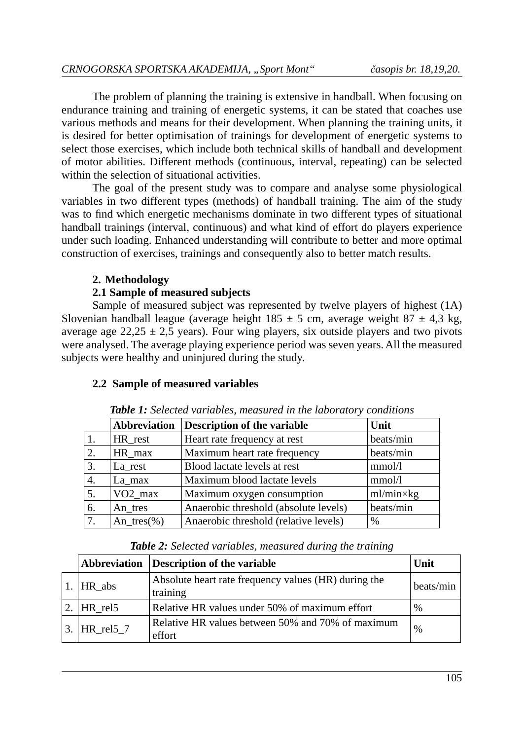The problem of planning the training is extensive in handball. When focusing on endurance training and training of energetic systems, it can be stated that coaches use various methods and means for their development. When planning the training units, it is desired for better optimisation of trainings for development of energetic systems to select those exercises, which include both technical skills of handball and development of motor abilities. Different methods (continuous, interval, repeating) can be selected within the selection of situational activities.

The goal of the present study was to compare and analyse some physiological variables in two different types (methods) of handball training. The aim of the study was to find which energetic mechanisms dominate in two different types of situational handball trainings (interval, continuous) and what kind of effort do players experience under such loading. Enhanced understanding will contribute to better and more optimal construction of exercises, trainings and consequently also to better match results.

## **2. Methodology**

## **2.1 Sample of measured subjects**

Sample of measured subject was represented by twelve players of highest (1A) Slovenian handball league (average height  $185 \pm 5$  cm, average weight  $87 \pm 4.3$  kg, average age  $22.25 \pm 2.5$  years). Four wing players, six outside players and two pivots were analysed. The average playing experience period was seven years. All the measured subjects were healthy and uninjured during the study.

## **2.2 Sample of measured variables**

|            | <b>Abbreviation</b> | Description of the variable           | Unit               |
|------------|---------------------|---------------------------------------|--------------------|
| $\vert$ 1. | HR rest             | Heart rate frequency at rest          | beats/min          |
| 2.         | HR max              | Maximum heart rate frequency          | beats/min          |
| 3.         | La_rest             | Blood lactate levels at rest          | mmol/l             |
| 4.         | La max              | Maximum blood lactate levels          | mmol/l             |
| 5.         | VO <sub>2</sub> max | Maximum oxygen consumption            | $ml/min \times kg$ |
| 6.         | An tres             | Anaerobic threshold (absolute levels) | beats/min          |
| 7.         | An tres $(\% )$     | Anaerobic threshold (relative levels) | $\%$               |

*Table 1: Selected variables, measured in the laboratory conditions* 

| Table 2: Selected variables, measured during the training |  |  |
|-----------------------------------------------------------|--|--|
|-----------------------------------------------------------|--|--|

|              | Abbreviation Description of the variable                         | Unit      |
|--------------|------------------------------------------------------------------|-----------|
| HR abs       | Absolute heart rate frequency values (HR) during the<br>training | beats/min |
|              | Relative HR values under 50% of maximum effort                   | $\%$      |
| HR rel5      |                                                                  |           |
| $H$ R_rel5_7 | Relative HR values between 50% and 70% of maximum<br>effort      | $\%$      |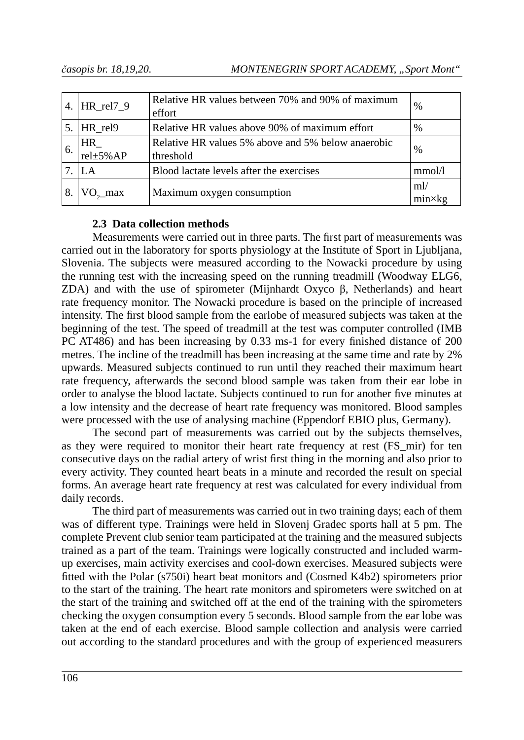|    | $HR$ <sub>rel</sub> $7_9$    | Relative HR values between 70% and 90% of maximum<br>effort     | $\%$                    |
|----|------------------------------|-----------------------------------------------------------------|-------------------------|
|    | 5. $ HR$ rel9                | Relative HR values above 90% of maximum effort                  | $\%$                    |
| 6. | <b>HR</b><br>$rel\pm 5\% AP$ | Relative HR values 5% above and 5% below anaerobic<br>threshold | $\%$                    |
|    | LA                           | Blood lactate levels after the exercises                        | mmol/l                  |
| 8. | $VO_{2}$ max                 | Maximum oxygen consumption                                      | ml/<br>$min \times k$ g |

## **2.3 Data collection methods**

Measurements were carried out in three parts. The first part of measurements was carried out in the laboratory for sports physiology at the Institute of Sport in Ljubljana, Slovenia. The subjects were measured according to the Nowacki procedure by using the running test with the increasing speed on the running treadmill (Woodway ELG6, ZDA) and with the use of spirometer (Mijnhardt Oxyco β, Netherlands) and heart rate frequency monitor. The Nowacki procedure is based on the principle of increased intensity. The first blood sample from the earlobe of measured subjects was taken at the beginning of the test. The speed of treadmill at the test was computer controlled (IMB PC AT486) and has been increasing by 0.33 ms-1 for every finished distance of 200 metres. The incline of the treadmill has been increasing at the same time and rate by 2% upwards. Measured subjects continued to run until they reached their maximum heart rate frequency, afterwards the second blood sample was taken from their ear lobe in order to analyse the blood lactate. Subjects continued to run for another five minutes at a low intensity and the decrease of heart rate frequency was monitored. Blood samples were processed with the use of analysing machine (Eppendorf EBIO plus, Germany).

The second part of measurements was carried out by the subjects themselves, as they were required to monitor their heart rate frequency at rest (FS\_mir) for ten consecutive days on the radial artery of wrist first thing in the morning and also prior to every activity. They counted heart beats in a minute and recorded the result on special forms. An average heart rate frequency at rest was calculated for every individual from daily records.

The third part of measurements was carried out in two training days; each of them was of different type. Trainings were held in Slovenj Gradec sports hall at 5 pm. The complete Prevent club senior team participated at the training and the measured subjects trained as a part of the team. Trainings were logically constructed and included warmup exercises, main activity exercises and cool-down exercises. Measured subjects were fitted with the Polar (s750i) heart beat monitors and (Cosmed K4b2) spirometers prior to the start of the training. The heart rate monitors and spirometers were switched on at the start of the training and switched off at the end of the training with the spirometers checking the oxygen consumption every 5 seconds. Blood sample from the ear lobe was taken at the end of each exercise. Blood sample collection and analysis were carried out according to the standard procedures and with the group of experienced measurers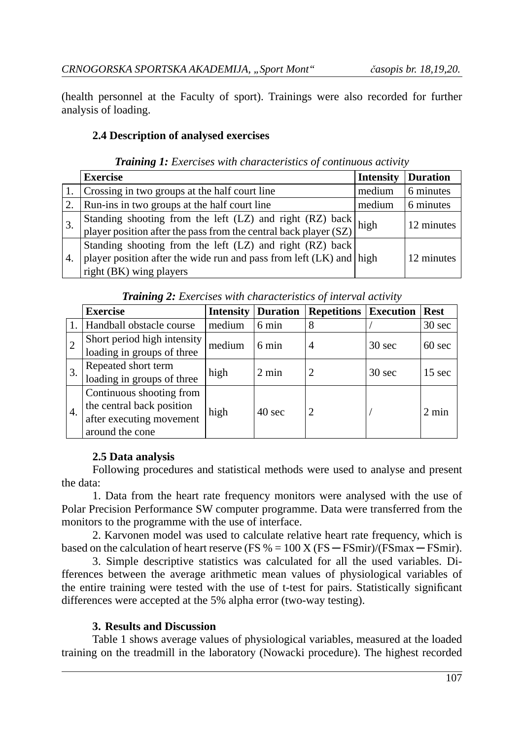(health personnel at the Faculty of sport). Trainings were also recorded for further analysis of loading.

## **2.4 Description of analysed exercises**

|  |  |  | <b>Training 1:</b> Exercises with characteristics of continuous activity |  |  |  |
|--|--|--|--------------------------------------------------------------------------|--|--|--|
|--|--|--|--------------------------------------------------------------------------|--|--|--|

|    | <b>Exercise</b>                                                                                                           | <b>Intensity</b> | <b>Duration</b> |
|----|---------------------------------------------------------------------------------------------------------------------------|------------------|-----------------|
|    | Crossing in two groups at the half court line                                                                             | medium           | 6 minutes       |
|    | Run-ins in two groups at the half court line                                                                              | medium           | 6 minutes       |
| 3. | Standing shooting from the left (LZ) and right (RZ) back player position after the pass from the central back player (SZ) |                  | 12 minutes      |
|    |                                                                                                                           |                  |                 |
|    | Standing shooting from the left $(LZ)$ and right $(RZ)$ back                                                              |                  |                 |
| 4. | player position after the wide run and pass from left $(LK)$ and $\vert$ high                                             |                  | 12 minutes      |
|    | right (BK) wing players                                                                                                   |                  |                 |

*Training 2: Exercises with characteristics of interval activity*

|    | <b>Exercise</b>                                                                                      | <b>Intensity</b> | <b>Duration</b>  | <b>Repetitions</b> Execution |                  | <b>Rest</b>      |
|----|------------------------------------------------------------------------------------------------------|------------------|------------------|------------------------------|------------------|------------------|
|    | Handball obstacle course                                                                             | medium           | 6 min            | 8                            |                  | $30 \text{ sec}$ |
|    | Short period high intensity<br>loading in groups of three                                            | medium           | $6 \text{ min}$  | 4                            | $30 \text{ sec}$ | $60 \text{ sec}$ |
| 3. | Repeated short term<br>loading in groups of three                                                    | high             | $2 \text{ min}$  |                              | $30 \text{ sec}$ | $15 \text{ sec}$ |
| 4. | Continuous shooting from<br>the central back position<br>after executing movement<br>around the cone | high             | $40 \text{ sec}$ |                              |                  | $2 \text{ min}$  |

# **2.5 Data analysis**

Following procedures and statistical methods were used to analyse and present the data:

1. Data from the heart rate frequency monitors were analysed with the use of Polar Precision Performance SW computer programme. Data were transferred from the monitors to the programme with the use of interface.

2. Karvonen model was used to calculate relative heart rate frequency, which is based on the calculation of heart reserve (FS  $% = 100$  X (FS  $-$  FSmir)/(FSmax  $-$  FSmir).

3. Simple descriptive statistics was calculated for all the used variables. Diffe rences between the average arithmetic mean values of physiological variables of the entire training were tested with the use of t-test for pairs. Statistically significant differences were accepted at the 5% alpha error (two-way testing).

## **3. Results and Discussion**

Table 1 shows average values of physiological variables, measured at the loaded training on the treadmill in the laboratory (Nowacki procedure). The highest recorded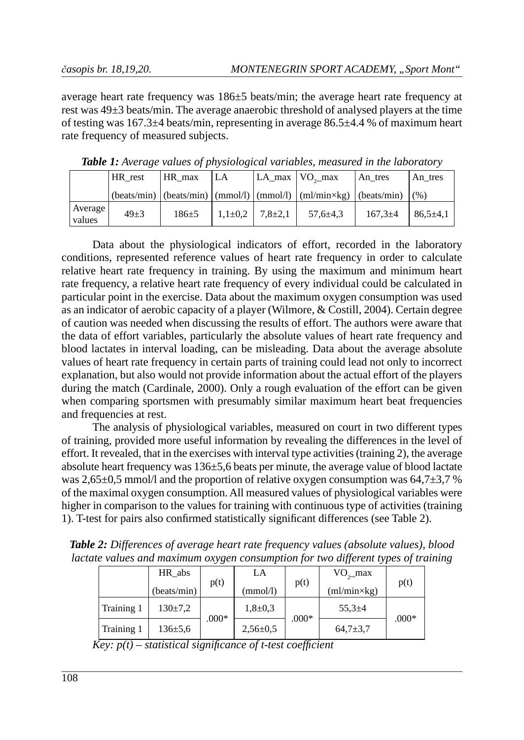average heart rate frequency was 186±5 beats/min; the average heart rate frequency at rest was 49±3 beats/min. The average anaerobic threshold of analysed players at the time of testing was 167.3±4 beats/min, representing in average 86.5±4.4 % of maximum heart rate frequency of measured subjects.

|                   | HR rest  | HR max    | LA           |               | LA max $\overline{VO}$ max                                                                                                            | An tres       | An tres        |
|-------------------|----------|-----------|--------------|---------------|---------------------------------------------------------------------------------------------------------------------------------------|---------------|----------------|
|                   |          |           |              |               | $(\text{beats/min})   (\text{beats/min})   (\text{mmol/l})   (\text{mmol/l})   (\text{ml/min} \times \text{kg})   (\text{beats/min})$ |               | (% )           |
| Average<br>values | $49 + 3$ | $186 + 5$ | $1,1\pm 0,2$ | $7.8 \pm 2.1$ | $57,6 \pm 4,3$                                                                                                                        | $167.3 \pm 4$ | $86.5 \pm 4.1$ |

*Table 1: Average values of physiological variables, measured in the laboratory* 

Data about the physiological indicators of effort, recorded in the laboratory conditions, represented reference values of heart rate frequency in order to calculate relative heart rate frequency in training. By using the maximum and minimum heart rate frequency, a relative heart rate frequency of every individual could be calculated in particular point in the exercise. Data about the maximum oxygen consumption was used as an indicator of aerobic capacity of a player (Wilmore, & Costill, 2004). Certain degree of caution was needed when discussing the results of effort. The authors were aware that the data of effort variables, particularly the absolute values of heart rate frequency and blood lactates in interval loading, can be misleading. Data about the average absolute values of heart rate frequency in certain parts of training could lead not only to incorrect explanation, but also would not provide information about the actual effort of the players during the match (Cardinale, 2000). Only a rough evaluation of the effort can be given when comparing sportsmen with presumably similar maximum heart beat frequencies and frequencies at rest.

The analysis of physiological variables, measured on court in two different types of training, provided more useful information by revealing the differences in the level of effort. It revealed, that in the exercises with interval type activities (training 2), the average absolute heart frequency was  $136\pm5.6$  beats per minute, the average value of blood lactate was  $2,65\pm0.5$  mmol/l and the proportion of relative oxygen consumption was  $64.7\pm3.7$  % of the maximal oxygen consumption. All measured values of physiological variables were higher in comparison to the values for training with continuous type of activities (training 1). T-test for pairs also confirmed statistically significant differences (see Table 2).

*Table 2: Differences of average heart rate frequency values (absolute values), blood lactate values and maximum oxygen consumption for two different types of training*

|            | HR abs        |         | LA             |         | $VO_{2}$ max         |         |
|------------|---------------|---------|----------------|---------|----------------------|---------|
|            | (beats/min)   | p(t)    | (mmol/l)       | p(t)    | $(ml/min \times kg)$ | p(t)    |
| Training 1 | $130 \pm 7.2$ |         | $1,8+0,3$      | $.000*$ | $55,3+4$             |         |
| Training 1 | $136 \pm 5.6$ | $.000*$ | $2,56 \pm 0.5$ |         | $64.7 \pm 3.7$       | $.000*$ |

 $Key: p(t) - statistical significance of t-test coefficient$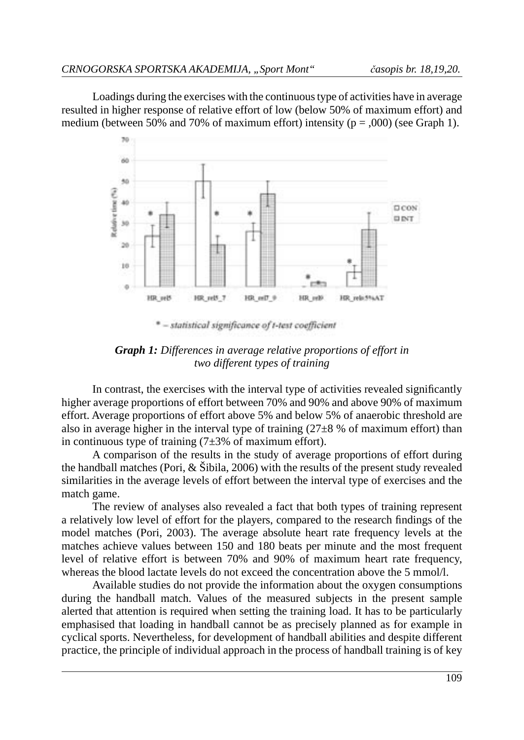Loadings during the exercises with the continuous type of activities have in average resulted in higher response of relative effort of low (below 50% of maximum effort) and medium (between 50% and 70% of maximum effort) intensity ( $p = .000$ ) (see Graph 1).



\* - statistical significance of t-test coefficient

*Graph 1: Differences in average relative proportions of effort in two different types of training* 

In contrast, the exercises with the interval type of activities revealed significantly higher average proportions of effort between 70% and 90% and above 90% of maximum effort. Average proportions of effort above 5% and below 5% of anaerobic threshold are also in average higher in the interval type of training  $(27\pm8\%$  of maximum effort) than in continuous type of training  $(7\pm3\% \text{ of maximum effort}).$ 

A comparison of the results in the study of average proportions of effort during the handball matches (Pori,  $\&$  Šibila, 2006) with the results of the present study revealed similarities in the average levels of effort between the interval type of exercises and the match game.

The review of analyses also revealed a fact that both types of training represent a relatively low level of effort for the players, compared to the research findings of the model matches (Pori, 2003). The average absolute heart rate frequency levels at the matches achieve values between 150 and 180 beats per minute and the most frequent level of relative effort is between 70% and 90% of maximum heart rate frequency, whereas the blood lactate levels do not exceed the concentration above the 5 mmol/l.

Available studies do not provide the information about the oxygen consumptions during the handball match. Values of the measured subjects in the present sample alerted that attention is required when setting the training load. It has to be particularly emphasised that loading in handball cannot be as precisely planned as for example in cyclical sports. Nevertheless, for development of handball abilities and despite different practice, the principle of individual approach in the process of handball training is of key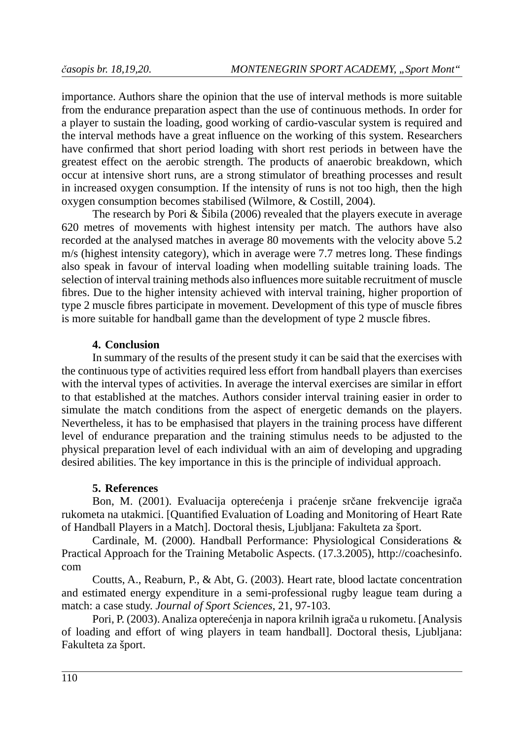importance. Authors share the opinion that the use of interval methods is more suitable from the endurance preparation aspect than the use of continuous methods. In order for a player to sustain the loading, good working of cardio-vascular system is required and the interval methods have a great influence on the working of this system. Researchers have confirmed that short period loading with short rest periods in between have the greatest effect on the aerobic strength. The products of anaerobic breakdown, which occur at intensive short runs, are a strong stimulator of breathing processes and result in increased oxygen consumption. If the intensity of runs is not too high, then the high oxygen consumption becomes stabilised (Wilmore, & Costill, 2004).

The research by Pori & Šibila (2006) revealed that the players execute in average 620 metres of movements with highest intensity per match. The authors have also recorded at the analysed matches in average 80 movements with the velocity above 5.2  $m/s$  (highest intensity category), which in average were 7.7 metres long. These findings also speak in favour of interval loading when modelling suitable training loads. The selection of interval training methods also influences more suitable recruitment of muscle fibres. Due to the higher intensity achieved with interval training, higher proportion of type 2 muscle fibres participate in movement. Development of this type of muscle fibres is more suitable for handball game than the development of type 2 muscle fibres.

## **4. Conclusion**

In summary of the results of the present study it can be said that the exercises with the continuous type of activities required less effort from handball players than exercises with the interval types of activities. In average the interval exercises are similar in effort to that established at the matches. Authors consider interval training easier in order to simulate the match conditions from the aspect of energetic demands on the players. Nevertheless, it has to be emphasised that players in the training process have different level of endurance preparation and the training stimulus needs to be adjusted to the physical preparation level of each individual with an aim of developing and upgrading desired abilities. The key importance in this is the principle of individual approach.

## **5. References**

Bon, M. (2001). Evaluacija opterećenja i praćenje srčane frekvencije igrača rukometa na utakmici. [Quantified Evaluation of Loading and Monitoring of Heart Rate of Handball Players in a Match]. Doctoral thesis, Ljubljana: Fakulteta za šport.

Cardinale, M. (2000). Handball Performance: Physiological Considerations & Practical Approach for the Training Metabolic Aspects. (17.3.2005), http://coachesinfo. com

Coutts, A., Reaburn, P., & Abt, G. (2003). Heart rate, blood lactate concentration and estimated energy expenditure in a semi-professional rugby league team during a match: a case study. *Journal of Sport Sciences*, 21, 97-103.

Pori, P. (2003). Analiza opterećenja in napora krilnih igrača u rukometu. [Analysis of loading and effort of wing players in team handball]. Doctoral thesis, Ljubljana: Fakulteta za šport.